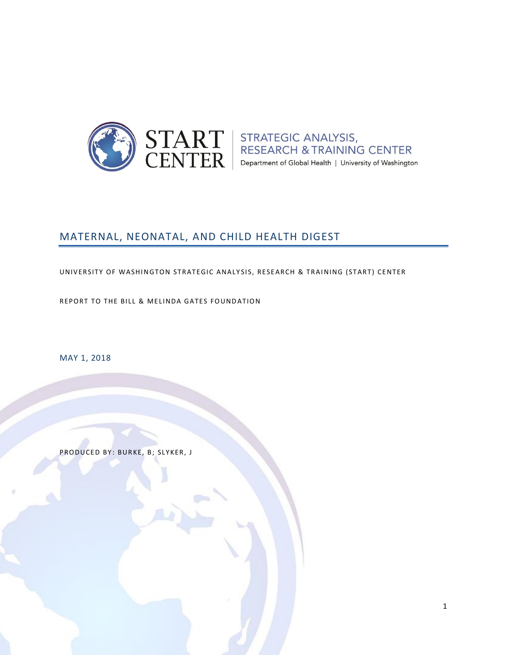

 $\text{START}\atop \text{CENTER}\left|\begin{array}{l}\text{STRATEGIC ANALYSIS},\text{RESEARCH & TRAINING CENTER}\atop \text{Department of Global Health }|\text{ University of Washington}\end{array}\right|$ 

# MATERNAL, NEONATAL, AND CHILD HEALTH DIGEST

UNIVERSITY OF WASHINGTON STRATEGIC ANALYSIS, RESEARCH & TRAINING (START) CENTER

REPORT TO THE BILL & MELINDA GATES FOUNDATION

MAY 1, 2018

PRODUCED BY: BURKE, B; SLYKER, J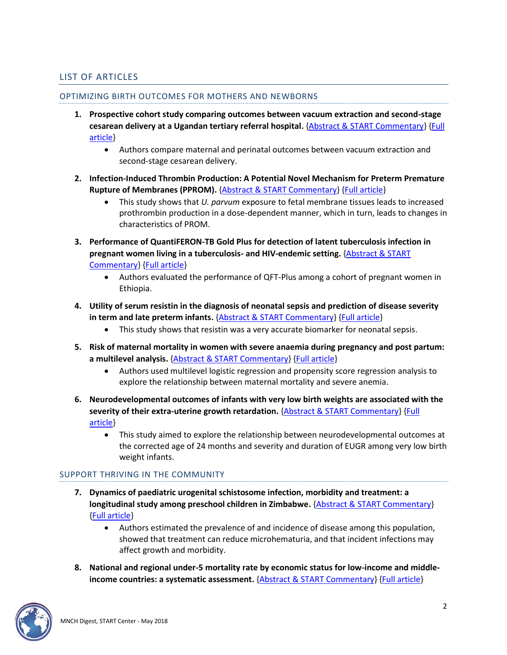# <span id="page-1-0"></span>LIST OF ARTICLES

#### OPTIMIZING BIRTH OUTCOMES FOR MOTHERS AND NEWBORNS

- **1. Prospective cohort study comparing outcomes between vacuum extraction and second-stage cesarean delivery at a Ugandan tertiary referral hospital.** [{Abstract & START Commentary}](#page-3-0) [{Full](http://doi.org/10.1002/ijgo.12500)  [article}](http://doi.org/10.1002/ijgo.12500)
	- Authors compare maternal and perinatal outcomes between vacuum extraction and second-stage cesarean delivery.
- **2. Infection-Induced Thrombin Production: A Potential Novel Mechanism for Preterm Premature Rupture of Membranes (PPROM).** [{Abstract & START Commentary}](#page-4-0) [{Full article}](http://doi.org/10.1016/j.ajog.2018.04.014)
	- This study shows that *U. parvum* exposure to fetal membrane tissues leads to increased prothrombin production in a dose-dependent manner, which in turn, leads to changes in characteristics of PROM.
- **3. Performance of QuantiFERON-TB Gold Plus for detection of latent tuberculosis infection in pregnant women living in a tuberculosis- and HIV-endemic setting.** [{Abstract & START](#page-6-0)  [Commentary}](#page-6-0) [{Full article}](http://doi.org/10.1371/journal.pone.0193589)
	- Authors evaluated the performance of QFT-Plus among a cohort of pregnant women in Ethiopia.
- **4. Utility of serum resistin in the diagnosis of neonatal sepsis and prediction of disease severity in term and late preterm infants.** [{Abstract & START Commentary}](#page-7-0) [{Full article}](http://doi.org/10.1515/jpm-2018-0018)
	- This study shows that resistin was a very accurate biomarker for neonatal sepsis.
- **5. Risk of maternal mortality in women with severe anaemia during pregnancy and post partum: a multilevel analysis.** [{Abstract & START Commentary}](#page-8-0) [{Full article}](http://doi.org/10.1016/S2214-109X(18)30078-0)
	- Authors used multilevel logistic regression and propensity score regression analysis to explore the relationship between maternal mortality and severe anemia.
- **6. Neurodevelopmental outcomes of infants with very low birth weights are associated with the severity of their extra-uterine growth retardation.** [{Abstract & START Commentary}](#page-9-0) [{Full](http://doi.org/10.1016/j.pedneo.2017.08.003)  [article}](http://doi.org/10.1016/j.pedneo.2017.08.003)
	- This study aimed to explore the relationship between neurodevelopmental outcomes at the corrected age of 24 months and severity and duration of EUGR among very low birth weight infants.

## SUPPORT THRIVING IN THE COMMUNITY

- **7. Dynamics of paediatric urogenital schistosome infection, morbidity and treatment: a longitudinal study among preschool children in Zimbabwe.** [{Abstract & START Commentary}](#page-10-0) [{Full article}](http://doi.org/10.1136/bmjgh-2017-000661)
	- Authors estimated the prevalence of and incidence of disease among this population, showed that treatment can reduce microhematuria, and that incident infections may affect growth and morbidity.
- **8. National and regional under-5 mortality rate by economic status for low-income and middleincome countries: a systematic assessment.** [{Abstract & START Commentary}](#page-12-0) [{Full article}](http://doi.org/10.1016/S2214-109X(18)30059-7)

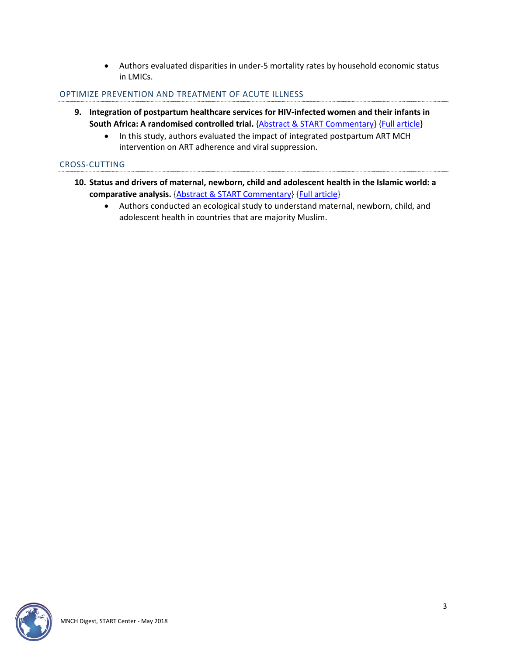• Authors evaluated disparities in under-5 mortality rates by household economic status in LMICs.

#### OPTIMIZE PREVENTION AND TREATMENT OF ACUTE ILLNESS

- **9. Integration of postpartum healthcare services for HIV-infected women and their infants in South Africa: A randomised controlled trial.** [{Abstract & START Commentary}](#page-14-0) [{Full article}](http://doi.org/10.1371/journal.pmed.1002547)
	- In this study, authors evaluated the impact of integrated postpartum ART MCH intervention on ART adherence and viral suppression.

#### CROSS-CUTTING

- **10. Status and drivers of maternal, newborn, child and adolescent health in the Islamic world: a comparative analysis.** [{Abstract & START Commentary}](#page-16-0) [{Full article}](http://doi.org/10.1016/S0140-6736(18)30183-1)
	- Authors conducted an ecological study to understand maternal, newborn, child, and adolescent health in countries that are majority Muslim.

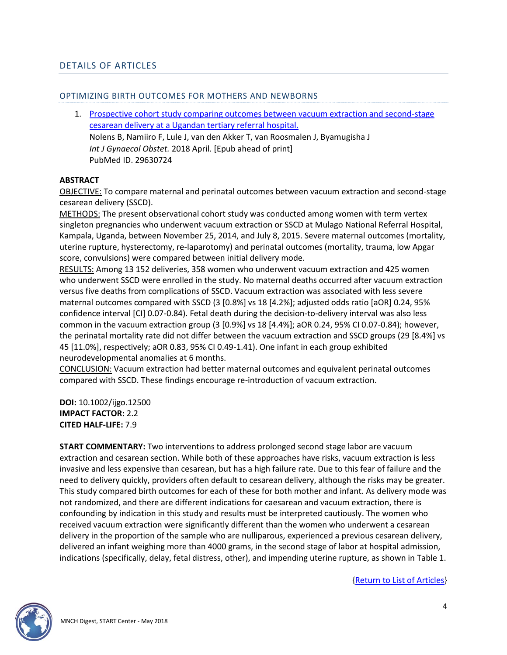#### OPTIMIZING BIRTH OUTCOMES FOR MOTHERS AND NEWBORNS

<span id="page-3-0"></span>1. [Prospective cohort study comparing outcomes between vacuum extraction and second-stage](http://doi.org/10.1002/ijgo.12500)  [cesarean delivery at a Ugandan tertiary referral hospital.](http://doi.org/10.1002/ijgo.12500) Nolens B, Namiiro F, Lule J, van den Akker T, van Roosmalen J, Byamugisha J *Int J Gynaecol Obstet.* 2018 April. [Epub ahead of print] PubMed ID. 29630724

#### **ABSTRACT**

OBJECTIVE: To compare maternal and perinatal outcomes between vacuum extraction and second-stage cesarean delivery (SSCD).

METHODS: The present observational cohort study was conducted among women with term vertex singleton pregnancies who underwent vacuum extraction or SSCD at Mulago National Referral Hospital, Kampala, Uganda, between November 25, 2014, and July 8, 2015. Severe maternal outcomes (mortality, uterine rupture, hysterectomy, re-laparotomy) and perinatal outcomes (mortality, trauma, low Apgar score, convulsions) were compared between initial delivery mode.

RESULTS: Among 13 152 deliveries, 358 women who underwent vacuum extraction and 425 women who underwent SSCD were enrolled in the study. No maternal deaths occurred after vacuum extraction versus five deaths from complications of SSCD. Vacuum extraction was associated with less severe maternal outcomes compared with SSCD (3 [0.8%] vs 18 [4.2%]; adjusted odds ratio [aOR] 0.24, 95% confidence interval [CI] 0.07-0.84). Fetal death during the decision-to-delivery interval was also less common in the vacuum extraction group (3 [0.9%] vs 18 [4.4%]; aOR 0.24, 95% CI 0.07-0.84); however, the perinatal mortality rate did not differ between the vacuum extraction and SSCD groups (29 [8.4%] vs 45 [11.0%], respectively; aOR 0.83, 95% CI 0.49-1.41). One infant in each group exhibited neurodevelopmental anomalies at 6 months.

CONCLUSION: Vacuum extraction had better maternal outcomes and equivalent perinatal outcomes compared with SSCD. These findings encourage re-introduction of vacuum extraction.

**DOI:** 10.1002/ijgo.12500 **IMPACT FACTOR:** 2.2 **CITED HALF-LIFE:** 7.9

**START COMMENTARY:** Two interventions to address prolonged second stage labor are vacuum extraction and cesarean section. While both of these approaches have risks, vacuum extraction is less invasive and less expensive than cesarean, but has a high failure rate. Due to this fear of failure and the need to delivery quickly, providers often default to cesarean delivery, although the risks may be greater. This study compared birth outcomes for each of these for both mother and infant. As delivery mode was not randomized, and there are different indications for caesarean and vacuum extraction, there is confounding by indication in this study and results must be interpreted cautiously. The women who received vacuum extraction were significantly different than the women who underwent a cesarean delivery in the proportion of the sample who are nulliparous, experienced a previous cesarean delivery, delivered an infant weighing more than 4000 grams, in the second stage of labor at hospital admission, indications (specifically, delay, fetal distress, other), and impending uterine rupture, as shown in Table 1.

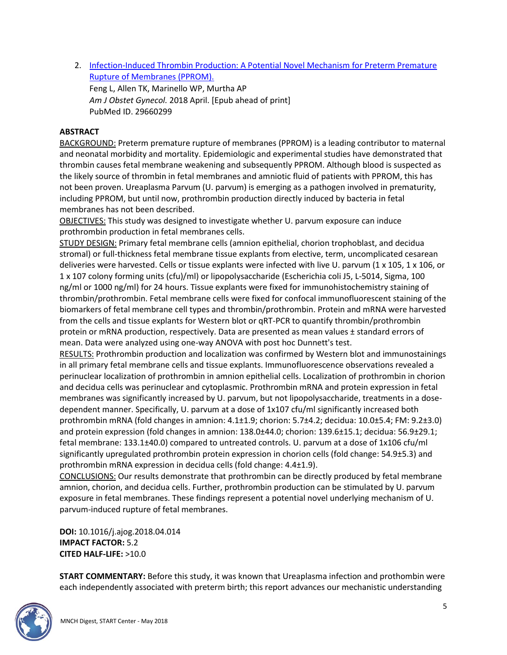<span id="page-4-0"></span>2. [Infection-Induced Thrombin Production: A Potential Novel Mechanism for Preterm Premature](http://doi.org/10.1016/j.ajog.2018.04.014)  [Rupture of Membranes \(PPROM\).](http://doi.org/10.1016/j.ajog.2018.04.014)

Feng L, Allen TK, Marinello WP, Murtha AP *Am J Obstet Gynecol.* 2018 April. [Epub ahead of print] PubMed ID. 29660299

# **ABSTRACT**

BACKGROUND: Preterm premature rupture of membranes (PPROM) is a leading contributor to maternal and neonatal morbidity and mortality. Epidemiologic and experimental studies have demonstrated that thrombin causes fetal membrane weakening and subsequently PPROM. Although blood is suspected as the likely source of thrombin in fetal membranes and amniotic fluid of patients with PPROM, this has not been proven. Ureaplasma Parvum (U. parvum) is emerging as a pathogen involved in prematurity, including PPROM, but until now, prothrombin production directly induced by bacteria in fetal membranes has not been described.

OBJECTIVES: This study was designed to investigate whether U. parvum exposure can induce prothrombin production in fetal membranes cells.

STUDY DESIGN: Primary fetal membrane cells (amnion epithelial, chorion trophoblast, and decidua stromal) or full-thickness fetal membrane tissue explants from elective, term, uncomplicated cesarean deliveries were harvested. Cells or tissue explants were infected with live U. parvum (1 x 105, 1 x 106, or 1 x 107 colony forming units (cfu)/ml) or lipopolysaccharide (Escherichia coli J5, L-5014, Sigma, 100 ng/ml or 1000 ng/ml) for 24 hours. Tissue explants were fixed for immunohistochemistry staining of thrombin/prothrombin. Fetal membrane cells were fixed for confocal immunofluorescent staining of the biomarkers of fetal membrane cell types and thrombin/prothrombin. Protein and mRNA were harvested from the cells and tissue explants for Western blot or qRT-PCR to quantify thrombin/prothrombin protein or mRNA production, respectively. Data are presented as mean values ± standard errors of mean. Data were analyzed using one-way ANOVA with post hoc Dunnett's test.

RESULTS: Prothrombin production and localization was confirmed by Western blot and immunostainings in all primary fetal membrane cells and tissue explants. Immunofluorescence observations revealed a perinuclear localization of prothrombin in amnion epithelial cells. Localization of prothrombin in chorion and decidua cells was perinuclear and cytoplasmic. Prothrombin mRNA and protein expression in fetal membranes was significantly increased by U. parvum, but not lipopolysaccharide, treatments in a dosedependent manner. Specifically, U. parvum at a dose of 1x107 cfu/ml significantly increased both prothrombin mRNA (fold changes in amnion: 4.1±1.9; chorion: 5.7±4.2; decidua: 10.0±5.4; FM: 9.2±3.0) and protein expression (fold changes in amnion: 138.0±44.0; chorion: 139.6±15.1; decidua: 56.9±29.1; fetal membrane: 133.1±40.0) compared to untreated controls. U. parvum at a dose of 1x106 cfu/ml significantly upregulated prothrombin protein expression in chorion cells (fold change: 54.9±5.3) and prothrombin mRNA expression in decidua cells (fold change: 4.4±1.9).

CONCLUSIONS: Our results demonstrate that prothrombin can be directly produced by fetal membrane amnion, chorion, and decidua cells. Further, prothrombin production can be stimulated by U. parvum exposure in fetal membranes. These findings represent a potential novel underlying mechanism of U. parvum-induced rupture of fetal membranes.

**DOI:** 10.1016/j.ajog.2018.04.014 **IMPACT FACTOR:** 5.2 **CITED HALF-LIFE:** >10.0

**START COMMENTARY:** Before this study, it was known that Ureaplasma infection and prothombin were each independently associated with preterm birth; this report advances our mechanistic understanding

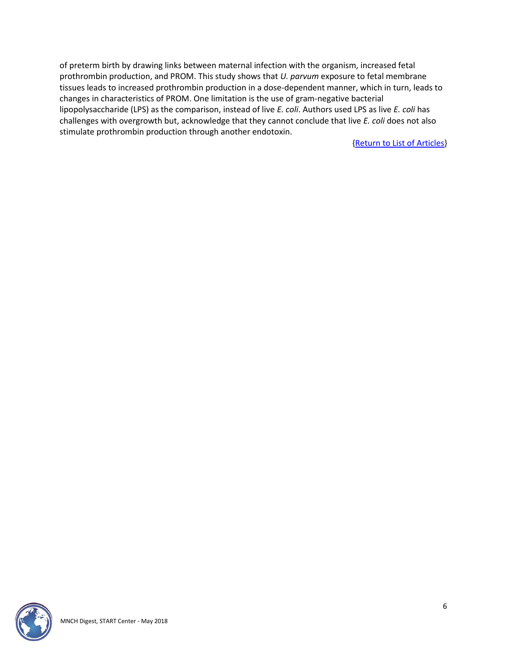of preterm birth by drawing links between maternal infection with the organism, increased fetal prothrombin production, and PROM. This study shows that *U. parvum* exposure to fetal membrane tissues leads to increased prothrombin production in a dose-dependent manner, which in turn, leads to changes in characteristics of PROM. One limitation is the use of gram-negative bacterial lipopolysaccharide (LPS) as the comparison, instead of live *E. coli*. Authors used LPS as live *E. coli* has challenges with overgrowth but, acknowledge that they cannot conclude that live *E. coli* does not also stimulate prothrombin production through another endotoxin.

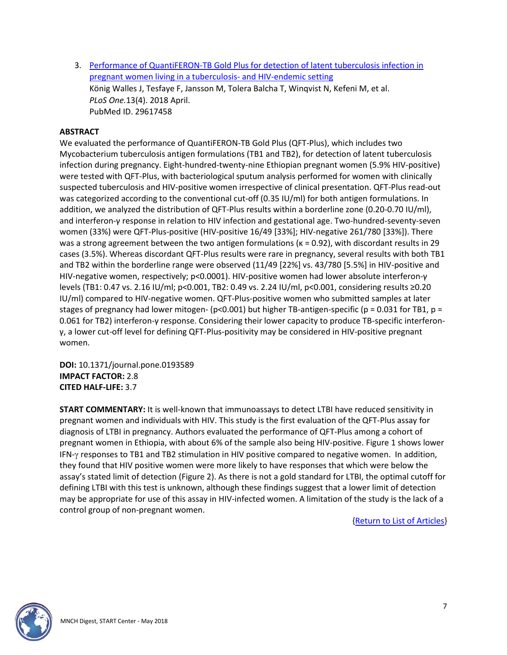<span id="page-6-0"></span>3. [Performance of QuantiFERON-TB Gold Plus for detection of latent tuberculosis infection in](http://doi.org/10.1371/journal.pone.0193589)  [pregnant women living in a tuberculosis-](http://doi.org/10.1371/journal.pone.0193589) and HIV-endemic setting König Walles J, Tesfaye F, Jansson M, Tolera Balcha T, Winqvist N, Kefeni M, et al. *PLoS One.*13(4). 2018 April. PubMed ID. 29617458

## **ABSTRACT**

We evaluated the performance of QuantiFERON-TB Gold Plus (QFT-Plus), which includes two Mycobacterium tuberculosis antigen formulations (TB1 and TB2), for detection of latent tuberculosis infection during pregnancy. Eight-hundred-twenty-nine Ethiopian pregnant women (5.9% HIV-positive) were tested with QFT-Plus, with bacteriological sputum analysis performed for women with clinically suspected tuberculosis and HIV-positive women irrespective of clinical presentation. QFT-Plus read-out was categorized according to the conventional cut-off (0.35 IU/ml) for both antigen formulations. In addition, we analyzed the distribution of QFT-Plus results within a borderline zone (0.20-0.70 IU/ml), and interferon-γ response in relation to HIV infection and gestational age. Two-hundred-seventy-seven women (33%) were QFT-Plus-positive (HIV-positive 16/49 [33%]; HIV-negative 261/780 [33%]). There was a strong agreement between the two antigen formulations (κ = 0.92), with discordant results in 29 cases (3.5%). Whereas discordant QFT-Plus results were rare in pregnancy, several results with both TB1 and TB2 within the borderline range were observed (11/49 [22%] vs. 43/780 [5.5%] in HIV-positive and HIV-negative women, respectively; p<0.0001). HIV-positive women had lower absolute interferon-γ levels (TB1: 0.47 vs. 2.16 IU/ml; p<0.001, TB2: 0.49 vs. 2.24 IU/ml, p<0.001, considering results ≥0.20 IU/ml) compared to HIV-negative women. QFT-Plus-positive women who submitted samples at later stages of pregnancy had lower mitogen- (p<0.001) but higher TB-antigen-specific (p = 0.031 for TB1, p = 0.061 for TB2) interferon-γ response. Considering their lower capacity to produce TB-specific interferonγ, a lower cut-off level for defining QFT-Plus-positivity may be considered in HIV-positive pregnant women.

**DOI:** 10.1371/journal.pone.0193589 **IMPACT FACTOR:** 2.8 **CITED HALF-LIFE:** 3.7

**START COMMENTARY:** It is well-known that immunoassays to detect LTBI have reduced sensitivity in pregnant women and individuals with HIV. This study is the first evaluation of the QFT-Plus assay for diagnosis of LTBI in pregnancy. Authors evaluated the performance of QFT-Plus among a cohort of pregnant women in Ethiopia, with about 6% of the sample also being HIV-positive. Figure 1 shows lower IFN- $\gamma$  responses to TB1 and TB2 stimulation in HIV positive compared to negative women. In addition, they found that HIV positive women were more likely to have responses that which were below the assay's stated limit of detection (Figure 2). As there is not a gold standard for LTBI, the optimal cutoff for defining LTBI with this test is unknown, although these findings suggest that a lower limit of detection may be appropriate for use of this assay in HIV-infected women. A limitation of the study is the lack of a control group of non-pregnant women.

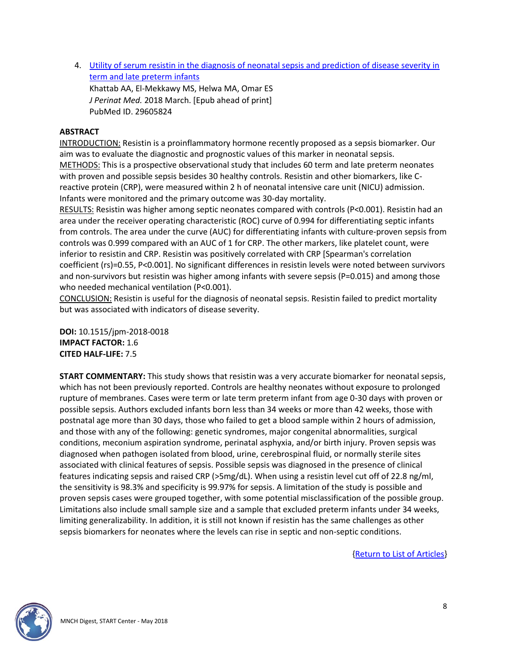<span id="page-7-0"></span>4. Utility of [serum resistin in the diagnosis of neonatal sepsis and prediction of disease severity in](http://doi.org/10.1515/jpm-2018-0018)  [term and late preterm infants](http://doi.org/10.1515/jpm-2018-0018)

Khattab AA, El-Mekkawy MS, Helwa MA, Omar ES *J Perinat Med.* 2018 March. [Epub ahead of print] PubMed ID. 29605824

# **ABSTRACT**

INTRODUCTION: Resistin is a proinflammatory hormone recently proposed as a sepsis biomarker. Our aim was to evaluate the diagnostic and prognostic values of this marker in neonatal sepsis. METHODS: This is a prospective observational study that includes 60 term and late preterm neonates with proven and possible sepsis besides 30 healthy controls. Resistin and other biomarkers, like Creactive protein (CRP), were measured within 2 h of neonatal intensive care unit (NICU) admission. Infants were monitored and the primary outcome was 30-day mortality.

RESULTS: Resistin was higher among septic neonates compared with controls (P<0.001). Resistin had an area under the receiver operating characteristic (ROC) curve of 0.994 for differentiating septic infants from controls. The area under the curve (AUC) for differentiating infants with culture-proven sepsis from controls was 0.999 compared with an AUC of 1 for CRP. The other markers, like platelet count, were inferior to resistin and CRP. Resistin was positively correlated with CRP [Spearman's correlation coefficient (rs)=0.55, P<0.001]. No significant differences in resistin levels were noted between survivors and non-survivors but resistin was higher among infants with severe sepsis (P=0.015) and among those who needed mechanical ventilation (P<0.001).

CONCLUSION: Resistin is useful for the diagnosis of neonatal sepsis. Resistin failed to predict mortality but was associated with indicators of disease severity.

**DOI:** 10.1515/jpm-2018-0018 **IMPACT FACTOR:** 1.6 **CITED HALF-LIFE:** 7.5

**START COMMENTARY:** This study shows that resistin was a very accurate biomarker for neonatal sepsis, which has not been previously reported. Controls are healthy neonates without exposure to prolonged rupture of membranes. Cases were term or late term preterm infant from age 0-30 days with proven or possible sepsis. Authors excluded infants born less than 34 weeks or more than 42 weeks, those with postnatal age more than 30 days, those who failed to get a blood sample within 2 hours of admission, and those with any of the following: genetic syndromes, major congenital abnormalities, surgical conditions, meconium aspiration syndrome, perinatal asphyxia, and/or birth injury. Proven sepsis was diagnosed when pathogen isolated from blood, urine, cerebrospinal fluid, or normally sterile sites associated with clinical features of sepsis. Possible sepsis was diagnosed in the presence of clinical features indicating sepsis and raised CRP (>5mg/dL). When using a resistin level cut off of 22.8 ng/ml, the sensitivity is 98.3% and specificity is 99.97% for sepsis. A limitation of the study is possible and proven sepsis cases were grouped together, with some potential misclassification of the possible group. Limitations also include small sample size and a sample that excluded preterm infants under 34 weeks, limiting generalizability. In addition, it is still not known if resistin has the same challenges as other sepsis biomarkers for neonates where the levels can rise in septic and non-septic conditions.

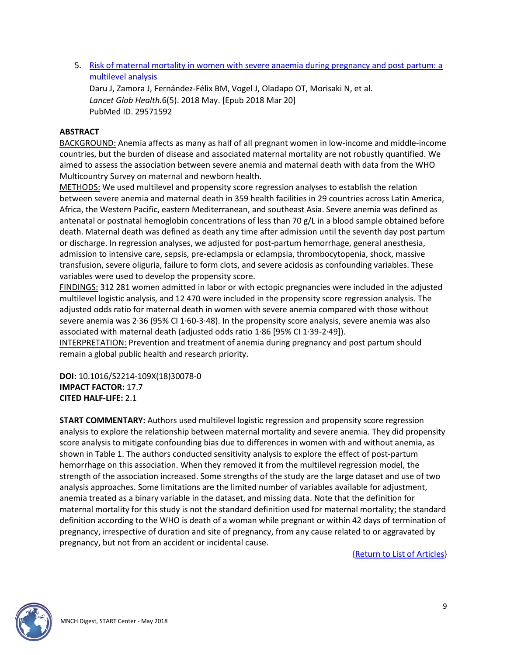<span id="page-8-0"></span>5. [Risk of maternal mortality in women with severe anaemia during pregnancy and post partum: a](http://doi.org/10.1016/S2214-109X(18)30078-0)  [multilevel analysis](http://doi.org/10.1016/S2214-109X(18)30078-0)

Daru J, Zamora J, Fernández-Félix BM, Vogel J, Oladapo OT, Morisaki N, et al. *Lancet Glob Health.*6(5). 2018 May. [Epub 2018 Mar 20] PubMed ID. 29571592

#### **ABSTRACT**

BACKGROUND: Anemia affects as many as half of all pregnant women in low-income and middle-income countries, but the burden of disease and associated maternal mortality are not robustly quantified. We aimed to assess the association between severe anemia and maternal death with data from the WHO Multicountry Survey on maternal and newborn health.

METHODS: We used multilevel and propensity score regression analyses to establish the relation between severe anemia and maternal death in 359 health facilities in 29 countries across Latin America, Africa, the Western Pacific, eastern Mediterranean, and southeast Asia. Severe anemia was defined as antenatal or postnatal hemoglobin concentrations of less than 70 g/L in a blood sample obtained before death. Maternal death was defined as death any time after admission until the seventh day post partum or discharge. In regression analyses, we adjusted for post-partum hemorrhage, general anesthesia, admission to intensive care, sepsis, pre-eclampsia or eclampsia, thrombocytopenia, shock, massive transfusion, severe oliguria, failure to form clots, and severe acidosis as confounding variables. These variables were used to develop the propensity score.

FINDINGS: 312 281 women admitted in labor or with ectopic pregnancies were included in the adjusted multilevel logistic analysis, and 12 470 were included in the propensity score regression analysis. The adjusted odds ratio for maternal death in women with severe anemia compared with those without severe anemia was 2·36 (95% CI 1·60-3·48). In the propensity score analysis, severe anemia was also associated with maternal death (adjusted odds ratio 1·86 [95% CI 1·39-2·49]).

INTERPRETATION: Prevention and treatment of anemia during pregnancy and post partum should remain a global public health and research priority.

**DOI:** 10.1016/S2214-109X(18)30078-0 **IMPACT FACTOR:** 17.7 **CITED HALF-LIFE:** 2.1

**START COMMENTARY:** Authors used multilevel logistic regression and propensity score regression analysis to explore the relationship between maternal mortality and severe anemia. They did propensity score analysis to mitigate confounding bias due to differences in women with and without anemia, as shown in Table 1. The authors conducted sensitivity analysis to explore the effect of post-partum hemorrhage on this association. When they removed it from the multilevel regression model, the strength of the association increased. Some strengths of the study are the large dataset and use of two analysis approaches. Some limitations are the limited number of variables available for adjustment, anemia treated as a binary variable in the dataset, and missing data. Note that the definition for maternal mortality for this study is not the standard definition used for maternal mortality; the standard definition according to the WHO is death of a woman while pregnant or within 42 days of termination of pregnancy, irrespective of duration and site of pregnancy, from any cause related to or aggravated by pregnancy, but not from an accident or incidental cause.

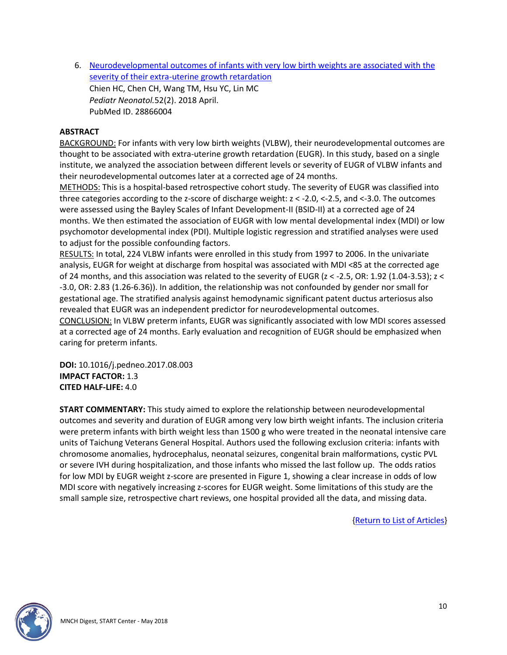<span id="page-9-0"></span>6. [Neurodevelopmental outcomes of infants with very low birth weights are associated with the](http://doi.org/10.1016/j.pedneo.2017.08.003)  [severity of their extra-uterine growth retardation](http://doi.org/10.1016/j.pedneo.2017.08.003) Chien HC, Chen CH, Wang TM, Hsu YC, Lin MC *Pediatr Neonatol.*52(2). 2018 April. PubMed ID. 28866004

#### **ABSTRACT**

BACKGROUND: For infants with very low birth weights (VLBW), their neurodevelopmental outcomes are thought to be associated with extra-uterine growth retardation (EUGR). In this study, based on a single institute, we analyzed the association between different levels or severity of EUGR of VLBW infants and their neurodevelopmental outcomes later at a corrected age of 24 months.

METHODS: This is a hospital-based retrospective cohort study. The severity of EUGR was classified into three categories according to the z-score of discharge weight: z < -2.0, <-2.5, and <-3.0. The outcomes were assessed using the Bayley Scales of Infant Development-II (BSID-II) at a corrected age of 24 months. We then estimated the association of EUGR with low mental developmental index (MDI) or low psychomotor developmental index (PDI). Multiple logistic regression and stratified analyses were used to adjust for the possible confounding factors.

RESULTS: In total, 224 VLBW infants were enrolled in this study from 1997 to 2006. In the univariate analysis, EUGR for weight at discharge from hospital was associated with MDI <85 at the corrected age of 24 months, and this association was related to the severity of EUGR (z < -2.5, OR: 1.92 (1.04-3.53); z < -3.0, OR: 2.83 (1.26-6.36)). In addition, the relationship was not confounded by gender nor small for gestational age. The stratified analysis against hemodynamic significant patent ductus arteriosus also revealed that EUGR was an independent predictor for neurodevelopmental outcomes.

CONCLUSION: In VLBW preterm infants, EUGR was significantly associated with low MDI scores assessed at a corrected age of 24 months. Early evaluation and recognition of EUGR should be emphasized when caring for preterm infants.

**DOI:** 10.1016/j.pedneo.2017.08.003 **IMPACT FACTOR:** 1.3 **CITED HALF-LIFE:** 4.0

**START COMMENTARY:** This study aimed to explore the relationship between neurodevelopmental outcomes and severity and duration of EUGR among very low birth weight infants. The inclusion criteria were preterm infants with birth weight less than 1500 g who were treated in the neonatal intensive care units of Taichung Veterans General Hospital. Authors used the following exclusion criteria: infants with chromosome anomalies, hydrocephalus, neonatal seizures, congenital brain malformations, cystic PVL or severe IVH during hospitalization, and those infants who missed the last follow up. The odds ratios for low MDI by EUGR weight z-score are presented in Figure 1, showing a clear increase in odds of low MDI score with negatively increasing z-scores for EUGR weight. Some limitations of this study are the small sample size, retrospective chart reviews, one hospital provided all the data, and missing data.

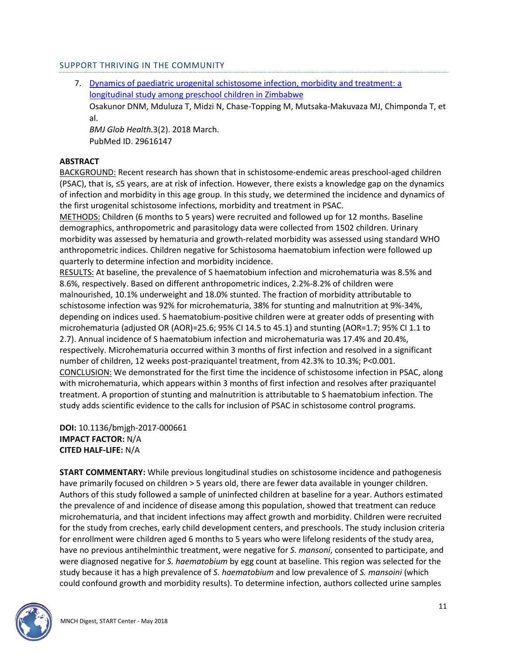#### SUPPORT THRIVING IN THE COMMUNITY

<span id="page-10-0"></span>7. [Dynamics of paediatric urogenital schistosome infection, morbidity and treatment: a](http://doi.org/10.1136/bmjgh-2017-000661)  [longitudinal study among preschool children in Zimbabwe](http://doi.org/10.1136/bmjgh-2017-000661) Osakunor DNM, Mduluza T, Midzi N, Chase-Topping M, Mutsaka-Makuvaza MJ, Chimponda T, et al.

*BMJ Glob Health.*3(2). 2018 March. PubMed ID. 29616147

#### **ABSTRACT**

BACKGROUND: Recent research has shown that in schistosome-endemic areas preschool-aged children (PSAC), that is, ≤5 years, are at risk of infection. However, there exists a knowledge gap on the dynamics of infection and morbidity in this age group. In this study, we determined the incidence and dynamics of the first urogenital schistosome infections, morbidity and treatment in PSAC.

METHODS: Children (6 months to 5 years) were recruited and followed up for 12 months. Baseline demographics, anthropometric and parasitology data were collected from 1502 children. Urinary morbidity was assessed by hematuria and growth-related morbidity was assessed using standard WHO anthropometric indices. Children negative for Schistosoma haematobium infection were followed up quarterly to determine infection and morbidity incidence.

RESULTS: At baseline, the prevalence of S haematobium infection and microhematuria was 8.5% and 8.6%, respectively. Based on different anthropometric indices, 2.2%-8.2% of children were malnourished, 10.1% underweight and 18.0% stunted. The fraction of morbidity attributable to schistosome infection was 92% for microhematuria, 38% for stunting and malnutrition at 9%-34%, depending on indices used. S haematobium-positive children were at greater odds of presenting with microhematuria (adjusted OR (AOR)=25.6; 95% CI 14.5 to 45.1) and stunting (AOR=1.7; 95% CI 1.1 to 2.7). Annual incidence of S haematobium infection and microhematuria was 17.4% and 20.4%, respectively. Microhematuria occurred within 3 months of first infection and resolved in a significant number of children, 12 weeks post-praziquantel treatment, from 42.3% to 10.3%; P<0.001. CONCLUSION: We demonstrated for the first time the incidence of schistosome infection in PSAC, along with microhematuria, which appears within 3 months of first infection and resolves after praziquantel treatment. A proportion of stunting and malnutrition is attributable to S haematobium infection. The study adds scientific evidence to the calls for inclusion of PSAC in schistosome control programs.

**DOI:** 10.1136/bmjgh-2017-000661 **IMPACT FACTOR:** N/A **CITED HALF-LIFE:** N/A

**START COMMENTARY:** While previous longitudinal studies on schistosome incidence and pathogenesis have primarily focused on children > 5 years old, there are fewer data available in younger children. Authors of this study followed a sample of uninfected children at baseline for a year. Authors estimated the prevalence of and incidence of disease among this population, showed that treatment can reduce microhematuria, and that incident infections may affect growth and morbidity. Children were recruited for the study from creches, early child development centers, and preschools. The study inclusion criteria for enrollment were children aged 6 months to 5 years who were lifelong residents of the study area, have no previous antihelminthic treatment, were negative for *S. mansoni*, consented to participate, and were diagnosed negative for *S. haematobium* by egg count at baseline. This region was selected for the study because it has a high prevalence of *S. haematobium* and low prevalence of *S. mansoini* (which could confound growth and morbidity results). To determine infection, authors collected urine samples

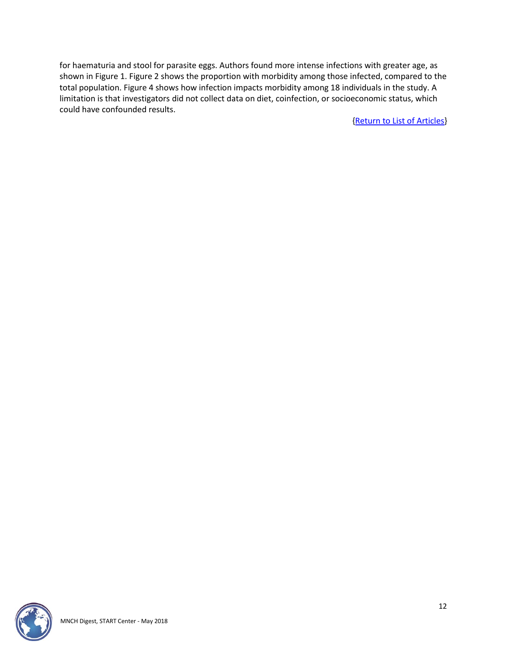for haematuria and stool for parasite eggs. Authors found more intense infections with greater age, as shown in Figure 1. Figure 2 shows the proportion with morbidity among those infected, compared to the total population. Figure 4 shows how infection impacts morbidity among 18 individuals in the study. A limitation is that investigators did not collect data on diet, coinfection, or socioeconomic status, which could have confounded results.

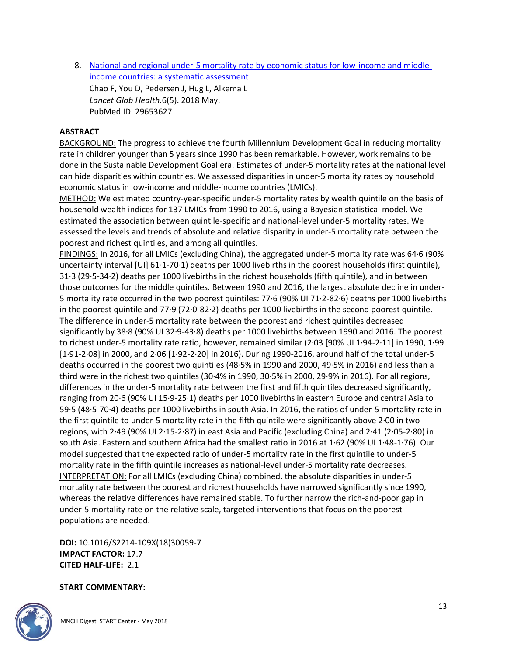<span id="page-12-0"></span>8. [National and regional under-5 mortality rate by economic status for low-income and middle](http://doi.org/10.1016/S2214-109X(18)30059-7)[income countries: a systematic assessment](http://doi.org/10.1016/S2214-109X(18)30059-7) Chao F, You D, Pedersen J, Hug L, Alkema L *Lancet Glob Health.*6(5). 2018 May. PubMed ID. 29653627

#### **ABSTRACT**

BACKGROUND: The progress to achieve the fourth Millennium Development Goal in reducing mortality rate in children younger than 5 years since 1990 has been remarkable. However, work remains to be done in the Sustainable Development Goal era. Estimates of under-5 mortality rates at the national level can hide disparities within countries. We assessed disparities in under-5 mortality rates by household economic status in low-income and middle-income countries (LMICs).

METHOD: We estimated country-year-specific under-5 mortality rates by wealth quintile on the basis of household wealth indices for 137 LMICs from 1990 to 2016, using a Bayesian statistical model. We estimated the association between quintile-specific and national-level under-5 mortality rates. We assessed the levels and trends of absolute and relative disparity in under-5 mortality rate between the poorest and richest quintiles, and among all quintiles.

FINDINGS: In 2016, for all LMICs (excluding China), the aggregated under-5 mortality rate was 64·6 (90% uncertainty interval [UI] 61·1-70·1) deaths per 1000 livebirths in the poorest households (first quintile), 31·3 (29·5-34·2) deaths per 1000 livebirths in the richest households (fifth quintile), and in between those outcomes for the middle quintiles. Between 1990 and 2016, the largest absolute decline in under-5 mortality rate occurred in the two poorest quintiles: 77·6 (90% UI 71·2-82·6) deaths per 1000 livebirths in the poorest quintile and 77·9 (72·0-82·2) deaths per 1000 livebirths in the second poorest quintile. The difference in under-5 mortality rate between the poorest and richest quintiles decreased significantly by 38·8 (90% UI 32·9-43·8) deaths per 1000 livebirths between 1990 and 2016. The poorest to richest under-5 mortality rate ratio, however, remained similar (2·03 [90% UI 1·94-2·11] in 1990, 1·99 [1·91-2·08] in 2000, and 2·06 [1·92-2·20] in 2016). During 1990-2016, around half of the total under-5 deaths occurred in the poorest two quintiles (48·5% in 1990 and 2000, 49·5% in 2016) and less than a third were in the richest two quintiles (30·4% in 1990, 30·5% in 2000, 29·9% in 2016). For all regions, differences in the under-5 mortality rate between the first and fifth quintiles decreased significantly, ranging from 20·6 (90% UI 15·9-25·1) deaths per 1000 livebirths in eastern Europe and central Asia to 59·5 (48·5-70·4) deaths per 1000 livebirths in south Asia. In 2016, the ratios of under-5 mortality rate in the first quintile to under-5 mortality rate in the fifth quintile were significantly above 2·00 in two regions, with 2·49 (90% UI 2·15-2·87) in east Asia and Pacific (excluding China) and 2·41 (2·05-2·80) in south Asia. Eastern and southern Africa had the smallest ratio in 2016 at 1·62 (90% UI 1·48-1·76). Our model suggested that the expected ratio of under-5 mortality rate in the first quintile to under-5 mortality rate in the fifth quintile increases as national-level under-5 mortality rate decreases. INTERPRETATION: For all LMICs (excluding China) combined, the absolute disparities in under-5 mortality rate between the poorest and richest households have narrowed significantly since 1990, whereas the relative differences have remained stable. To further narrow the rich-and-poor gap in under-5 mortality rate on the relative scale, targeted interventions that focus on the poorest populations are needed.

**DOI:** 10.1016/S2214-109X(18)30059-7 **IMPACT FACTOR:** 17.7 **CITED HALF-LIFE:** 2.1

#### **START COMMENTARY:**

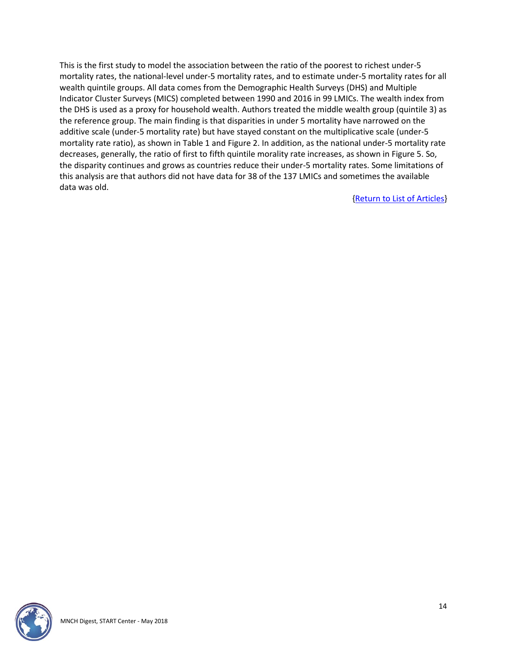This is the first study to model the association between the ratio of the poorest to richest under-5 mortality rates, the national-level under-5 mortality rates, and to estimate under-5 mortality rates for all wealth quintile groups. All data comes from the Demographic Health Surveys (DHS) and Multiple Indicator Cluster Surveys (MICS) completed between 1990 and 2016 in 99 LMICs. The wealth index from the DHS is used as a proxy for household wealth. Authors treated the middle wealth group (quintile 3) as the reference group. The main finding is that disparities in under 5 mortality have narrowed on the additive scale (under-5 mortality rate) but have stayed constant on the multiplicative scale (under-5 mortality rate ratio), as shown in Table 1 and Figure 2. In addition, as the national under-5 mortality rate decreases, generally, the ratio of first to fifth quintile morality rate increases, as shown in Figure 5. So, the disparity continues and grows as countries reduce their under-5 mortality rates. Some limitations of this analysis are that authors did not have data for 38 of the 137 LMICs and sometimes the available data was old.

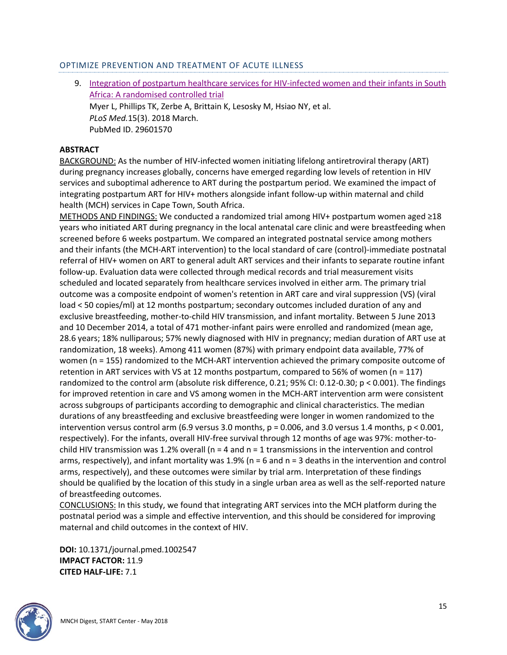#### OPTIMIZE PREVENTION AND TREATMENT OF ACUTE ILLNESS

<span id="page-14-0"></span>9. [Integration of postpartum healthcare services for HIV-infected women and their infants in South](http://doi.org/10.1371/journal.pmed.1002547)  [Africa: A randomised controlled trial](http://doi.org/10.1371/journal.pmed.1002547) Myer L, Phillips TK, Zerbe A, Brittain K, Lesosky M, Hsiao NY, et al. *PLoS Med.*15(3). 2018 March. PubMed ID. 29601570

# **ABSTRACT**

BACKGROUND: As the number of HIV-infected women initiating lifelong antiretroviral therapy (ART) during pregnancy increases globally, concerns have emerged regarding low levels of retention in HIV services and suboptimal adherence to ART during the postpartum period. We examined the impact of integrating postpartum ART for HIV+ mothers alongside infant follow-up within maternal and child health (MCH) services in Cape Town, South Africa.

METHODS AND FINDINGS: We conducted a randomized trial among HIV+ postpartum women aged ≥18 years who initiated ART during pregnancy in the local antenatal care clinic and were breastfeeding when screened before 6 weeks postpartum. We compared an integrated postnatal service among mothers and their infants (the MCH-ART intervention) to the local standard of care (control)-immediate postnatal referral of HIV+ women on ART to general adult ART services and their infants to separate routine infant follow-up. Evaluation data were collected through medical records and trial measurement visits scheduled and located separately from healthcare services involved in either arm. The primary trial outcome was a composite endpoint of women's retention in ART care and viral suppression (VS) (viral load < 50 copies/ml) at 12 months postpartum; secondary outcomes included duration of any and exclusive breastfeeding, mother-to-child HIV transmission, and infant mortality. Between 5 June 2013 and 10 December 2014, a total of 471 mother-infant pairs were enrolled and randomized (mean age, 28.6 years; 18% nulliparous; 57% newly diagnosed with HIV in pregnancy; median duration of ART use at randomization, 18 weeks). Among 411 women (87%) with primary endpoint data available, 77% of women (n = 155) randomized to the MCH-ART intervention achieved the primary composite outcome of retention in ART services with VS at 12 months postpartum, compared to 56% of women (n = 117) randomized to the control arm (absolute risk difference, 0.21; 95% CI: 0.12-0.30; p < 0.001). The findings for improved retention in care and VS among women in the MCH-ART intervention arm were consistent across subgroups of participants according to demographic and clinical characteristics. The median durations of any breastfeeding and exclusive breastfeeding were longer in women randomized to the intervention versus control arm (6.9 versus 3.0 months,  $p = 0.006$ , and 3.0 versus 1.4 months,  $p < 0.001$ , respectively). For the infants, overall HIV-free survival through 12 months of age was 97%: mother-tochild HIV transmission was 1.2% overall ( $n = 4$  and  $n = 1$  transmissions in the intervention and control arms, respectively), and infant mortality was 1.9% ( $n = 6$  and  $n = 3$  deaths in the intervention and control arms, respectively), and these outcomes were similar by trial arm. Interpretation of these findings should be qualified by the location of this study in a single urban area as well as the self-reported nature of breastfeeding outcomes.

CONCLUSIONS: In this study, we found that integrating ART services into the MCH platform during the postnatal period was a simple and effective intervention, and this should be considered for improving maternal and child outcomes in the context of HIV.

**DOI:** 10.1371/journal.pmed.1002547 **IMPACT FACTOR:** 11.9 **CITED HALF-LIFE:** 7.1

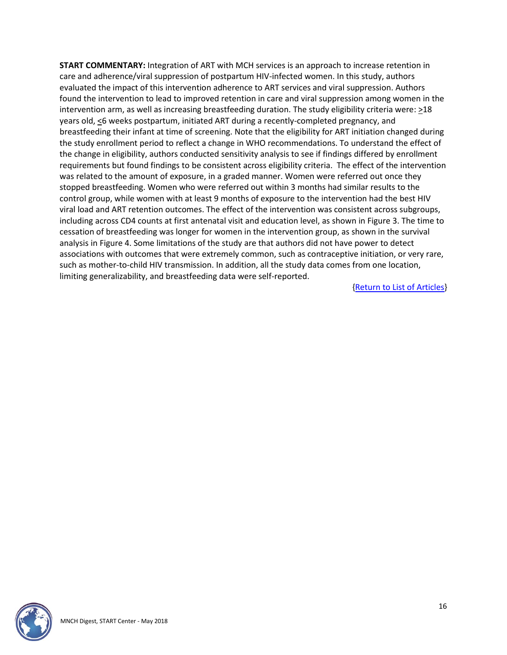**START COMMENTARY:** Integration of ART with MCH services is an approach to increase retention in care and adherence/viral suppression of postpartum HIV-infected women. In this study, authors evaluated the impact of this intervention adherence to ART services and viral suppression. Authors found the intervention to lead to improved retention in care and viral suppression among women in the intervention arm, as well as increasing breastfeeding duration. The study eligibility criteria were: >18 years old, <6 weeks postpartum, initiated ART during a recently-completed pregnancy, and breastfeeding their infant at time of screening. Note that the eligibility for ART initiation changed during the study enrollment period to reflect a change in WHO recommendations. To understand the effect of the change in eligibility, authors conducted sensitivity analysis to see if findings differed by enrollment requirements but found findings to be consistent across eligibility criteria. The effect of the intervention was related to the amount of exposure, in a graded manner. Women were referred out once they stopped breastfeeding. Women who were referred out within 3 months had similar results to the control group, while women with at least 9 months of exposure to the intervention had the best HIV viral load and ART retention outcomes. The effect of the intervention was consistent across subgroups, including across CD4 counts at first antenatal visit and education level, as shown in Figure 3. The time to cessation of breastfeeding was longer for women in the intervention group, as shown in the survival analysis in Figure 4. Some limitations of the study are that authors did not have power to detect associations with outcomes that were extremely common, such as contraceptive initiation, or very rare, such as mother-to-child HIV transmission. In addition, all the study data comes from one location, limiting generalizability, and breastfeeding data were self-reported.

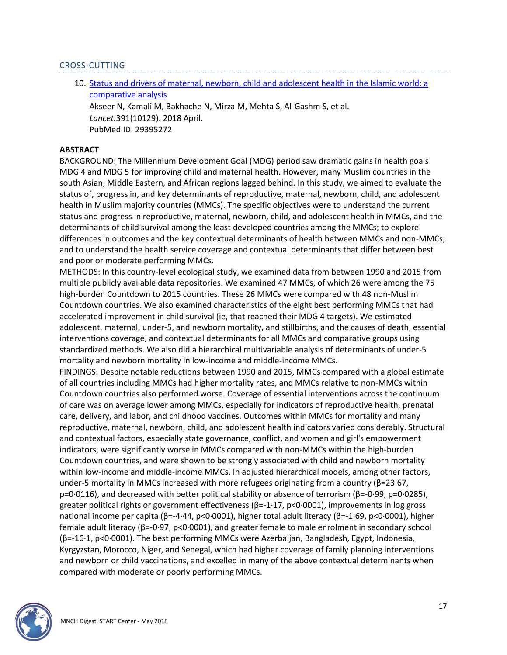#### CROSS-CUTTING

<span id="page-16-0"></span>10. [Status and drivers of maternal, newborn, child and adolescent health in the Islamic world: a](http://doi.org/10.1016/S0140-6736(18)30183-1)  [comparative analysis](http://doi.org/10.1016/S0140-6736(18)30183-1) Akseer N, Kamali M, Bakhache N, Mirza M, Mehta S, Al-Gashm S, et al. *Lancet.*391(10129). 2018 April. PubMed ID. 29395272

#### **ABSTRACT**

BACKGROUND: The Millennium Development Goal (MDG) period saw dramatic gains in health goals MDG 4 and MDG 5 for improving child and maternal health. However, many Muslim countries in the south Asian, Middle Eastern, and African regions lagged behind. In this study, we aimed to evaluate the status of, progress in, and key determinants of reproductive, maternal, newborn, child, and adolescent health in Muslim majority countries (MMCs). The specific objectives were to understand the current status and progress in reproductive, maternal, newborn, child, and adolescent health in MMCs, and the determinants of child survival among the least developed countries among the MMCs; to explore differences in outcomes and the key contextual determinants of health between MMCs and non-MMCs; and to understand the health service coverage and contextual determinants that differ between best and poor or moderate performing MMCs.

METHODS: In this country-level ecological study, we examined data from between 1990 and 2015 from multiple publicly available data repositories. We examined 47 MMCs, of which 26 were among the 75 high-burden Countdown to 2015 countries. These 26 MMCs were compared with 48 non-Muslim Countdown countries. We also examined characteristics of the eight best performing MMCs that had accelerated improvement in child survival (ie, that reached their MDG 4 targets). We estimated adolescent, maternal, under-5, and newborn mortality, and stillbirths, and the causes of death, essential interventions coverage, and contextual determinants for all MMCs and comparative groups using standardized methods. We also did a hierarchical multivariable analysis of determinants of under-5 mortality and newborn mortality in low-income and middle-income MMCs.

FINDINGS: Despite notable reductions between 1990 and 2015, MMCs compared with a global estimate of all countries including MMCs had higher mortality rates, and MMCs relative to non-MMCs within Countdown countries also performed worse. Coverage of essential interventions across the continuum of care was on average lower among MMCs, especially for indicators of reproductive health, prenatal care, delivery, and labor, and childhood vaccines. Outcomes within MMCs for mortality and many reproductive, maternal, newborn, child, and adolescent health indicators varied considerably. Structural and contextual factors, especially state governance, conflict, and women and girl's empowerment indicators, were significantly worse in MMCs compared with non-MMCs within the high-burden Countdown countries, and were shown to be strongly associated with child and newborn mortality within low-income and middle-income MMCs. In adjusted hierarchical models, among other factors, under-5 mortality in MMCs increased with more refugees originating from a country ( $β=23.67$ , p=0·0116), and decreased with better political stability or absence of terrorism (β=-0·99, p=0·0285), greater political rights or government effectiveness (β=-1·17, p<0·0001), improvements in log gross national income per capita (β=-4·44, p<0·0001), higher total adult literacy (β=-1·69, p<0·0001), higher female adult literacy (β=-0·97, p<0·0001), and greater female to male enrolment in secondary school (β=-16·1, p<0·0001). The best performing MMCs were Azerbaijan, Bangladesh, Egypt, Indonesia, Kyrgyzstan, Morocco, Niger, and Senegal, which had higher coverage of family planning interventions and newborn or child vaccinations, and excelled in many of the above contextual determinants when compared with moderate or poorly performing MMCs.